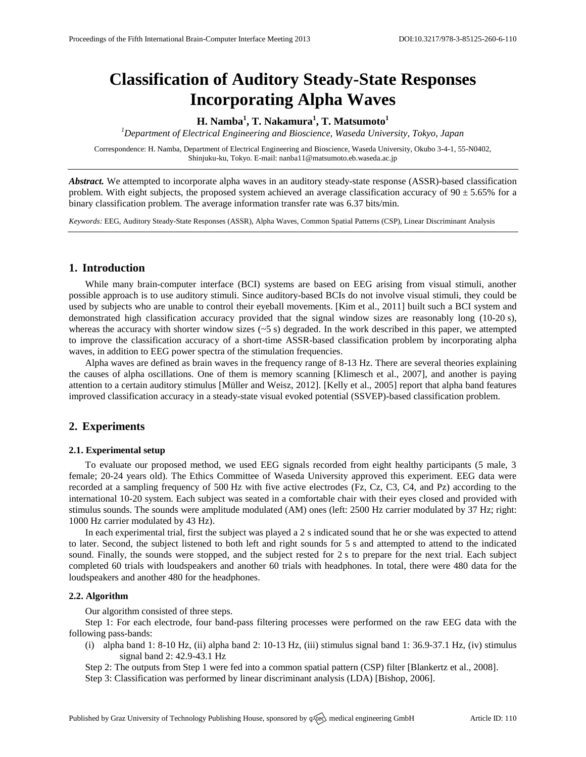# **Classification of Auditory Steady-State Responses Incorporating Alpha Waves**

## **H. Namba<sup>1</sup> , T. Nakamura<sup>1</sup> , T. Matsumoto<sup>1</sup>**

*<sup>1</sup>Department of Electrical Engineering and Bioscience, Waseda University, Tokyo, Japan*

Correspondence: H. Namba, Department of Electrical Engineering and Bioscience, Waseda University, Okubo 3-4-1, 55-N0402, Shinjuku-ku, Tokyo. E-mail[: nanba11@matsumoto.eb.waseda.ac.jp](mailto:nanba11@matsumoto.eb.waseda.ac.jp)

*Abstract.* We attempted to incorporate alpha waves in an auditory steady-state response (ASSR)-based classification problem. With eight subjects, the proposed system achieved an average classification accuracy of  $90 \pm 5.65\%$  for a binary classification problem. The average information transfer rate was 6.37 bits/min.

*Keywords:* EEG, Auditory Steady-State Responses (ASSR), Alpha Waves, Common Spatial Patterns (CSP), Linear Discriminant Analysis

## **1. Introduction**

While many brain-computer interface (BCI) systems are based on EEG arising from visual stimuli, another possible approach is to use auditory stimuli. Since auditory-based BCIs do not involve visual stimuli, they could be used by subjects who are unable to control their eyeball movements. [Kim et al., 2011] built such a BCI system and demonstrated high classification accuracy provided that the signal window sizes are reasonably long (10-20 s), whereas the accuracy with shorter window sizes  $(-5 s)$  degraded. In the work described in this paper, we attempted to improve the classification accuracy of a short-time ASSR-based classification problem by incorporating alpha waves, in addition to EEG power spectra of the stimulation frequencies.

Alpha waves are defined as brain waves in the frequency range of 8-13 Hz. There are several theories explaining the causes of alpha oscillations. One of them is memory scanning [Klimesch et al., 2007], and another is paying attention to a certain auditory stimulus [Müller and Weisz, 2012]. [Kelly et al., 2005] report that alpha band features improved classification accuracy in a steady-state visual evoked potential (SSVEP)-based classification problem.

### **2. Experiments**

#### **2.1. Experimental setup**

To evaluate our proposed method, we used EEG signals recorded from eight healthy participants (5 male, 3 female; 20-24 years old). The Ethics Committee of Waseda University approved this experiment. EEG data were recorded at a sampling frequency of 500 Hz with five active electrodes (Fz, Cz, C3, C4, and Pz) according to the international 10-20 system. Each subject was seated in a comfortable chair with their eyes closed and provided with stimulus sounds. The sounds were amplitude modulated (AM) ones (left: 2500 Hz carrier modulated by 37 Hz; right: 1000 Hz carrier modulated by 43 Hz).

In each experimental trial, first the subject was played a 2 s indicated sound that he or she was expected to attend to later. Second, the subject listened to both left and right sounds for 5 s and attempted to attend to the indicated sound. Finally, the sounds were stopped, and the subject rested for 2 s to prepare for the next trial. Each subject completed 60 trials with loudspeakers and another 60 trials with headphones. In total, there were 480 data for the loudspeakers and another 480 for the headphones.

#### **2.2. Algorithm**

Our algorithm consisted of three steps.

Step 1: For each electrode, four band-pass filtering processes were performed on the raw EEG data with the following pass-bands:

(i) alpha band 1: 8-10 Hz, (ii) alpha band 2: 10-13 Hz, (iii) stimulus signal band 1: 36.9-37.1 Hz, (iv) stimulus signal band 2: 42.9-43.1 Hz

Step 2: The outputs from Step 1 were fed into a common spatial pattern (CSP) filter [Blankertz et al., 2008].

Step 3: Classification was performed by linear discriminant analysis (LDA) [Bishop, 2006].